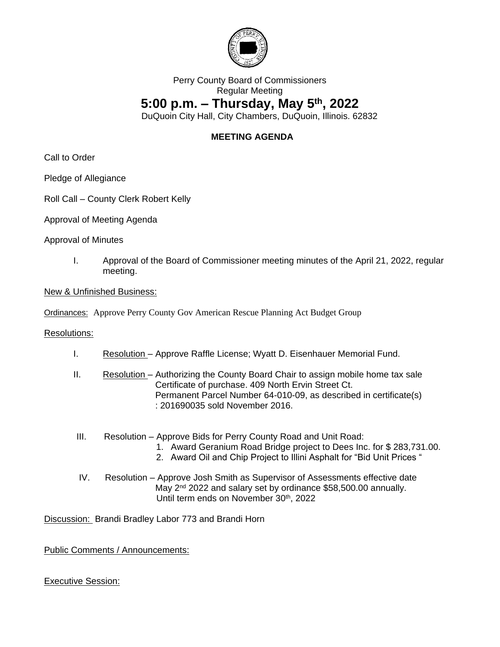

## Perry County Board of Commissioners Regular Meeting **5:00 p.m. – Thursday, May 5th, 2022**

DuQuoin City Hall, City Chambers, DuQuoin, Illinois. 62832

## **MEETING AGENDA**

Call to Order

Pledge of Allegiance

## Roll Call – County Clerk Robert Kelly

Approval of Meeting Agenda

Approval of Minutes

I. Approval of the Board of Commissioner meeting minutes of the April 21, 2022, regular meeting.

New & Unfinished Business:

Ordinances: Approve Perry County Gov American Rescue Planning Act Budget Group

Resolutions:

- I. Resolution Approve Raffle License; Wyatt D. Eisenhauer Memorial Fund.
- II. Resolution Authorizing the County Board Chair to assign mobile home tax sale Certificate of purchase. 409 North Ervin Street Ct. Permanent Parcel Number 64-010-09, as described in certificate(s) : 201690035 sold November 2016.
- III. Resolution Approve Bids for Perry County Road and Unit Road:
	- 1. Award Geranium Road Bridge project to Dees Inc. for \$ 283,731.00.
	- 2. Award Oil and Chip Project to Illini Asphalt for "Bid Unit Prices "
- IV. Resolution Approve Josh Smith as Supervisor of Assessments effective date May 2<sup>nd</sup> 2022 and salary set by ordinance \$58,500.00 annually. Until term ends on November 30<sup>th</sup>, 2022

Discussion: Brandi Bradley Labor 773 and Brandi Horn

Public Comments / Announcements:

Executive Session: